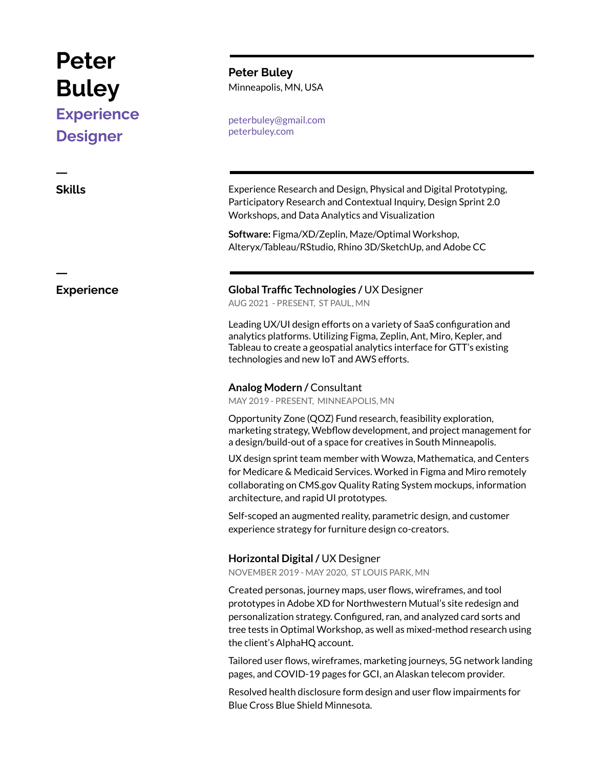# **Peter Buley**

# **Experience Designer**

ㅡ

ㅡ

**Peter Buley** Minneapolis, MN, USA

peterbuley@gmail.com peterbuley.com

**Skills** Experience Research and Design, Physical and Digital Prototyping, Participatory Research and Contextual Inquiry, Design Sprint 2.0 Workshops, and Data Analytics and Visualization

> **Software:** Figma/XD/Zeplin, Maze/Optimal Workshop, Alteryx/Tableau/RStudio, Rhino 3D/SketchUp, and Adobe CC

# **Experience Global Traffic Technologies /** UX Designer

AUG 2021 - PRESENT, ST PAUL, MN

Leading UX/UI design efforts on a variety of SaaS configuration and analytics platforms. Utilizing Figma, Zeplin, Ant, Miro, Kepler, and Tableau to create a geospatial analytics interface for GTT's existing technologies and new IoT and AWS efforts.

## **Analog Modern /** Consultant

MAY 2019 - PRESENT, MINNEAPOLIS, MN

Opportunity Zone (QOZ) Fund research, feasibility exploration, marketing strategy, Webflow development, and project management for a design/build-out of a space for creatives in South Minneapolis.

UX design sprint team member with Wowza, Mathematica, and Centers for Medicare & Medicaid Services. Worked in Figma and Miro remotely collaborating on CMS.gov Quality Rating System mockups, information architecture, and rapid UI prototypes.

Self-scoped an augmented reality, parametric design, and customer experience strategy for furniture design co-creators.

# **Horizontal Digital/** UX Designer

NOVEMBER 2019 - MAY 2020, ST LOUIS PARK, MN

Created personas, journey maps, user flows, wireframes, and tool prototypes in Adobe XD for Northwestern Mutual's site redesign and personalization strategy. Configured, ran, and analyzed card sorts and tree tests in Optimal Workshop, as well as mixed-method research using the client's AlphaHQ account.

Tailored user flows, wireframes, marketing journeys, 5G network landing pages, and COVID-19 pages for GCI, an Alaskan telecom provider.

Resolved health disclosure form design and user flow impairments for Blue Cross Blue Shield Minnesota.